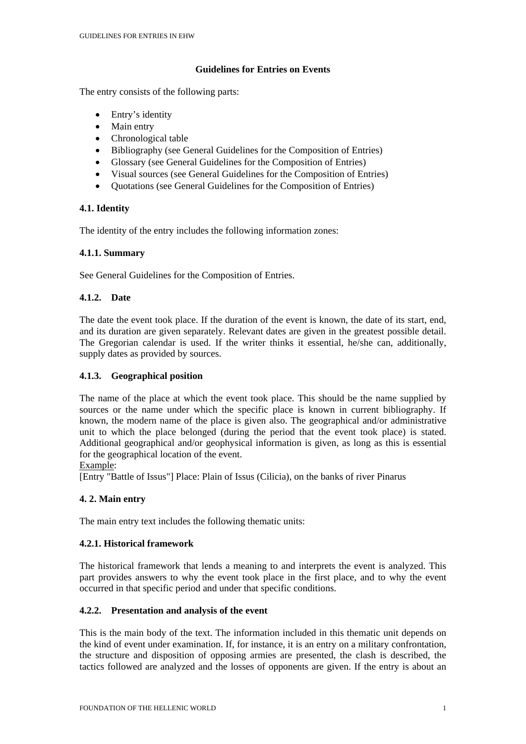## **Guidelines for Entries on Events**

The entry consists of the following parts:

- Entry's identity
- Main entry
- Chronological table
- Bibliography (see General Guidelines for the Composition of Entries)
- Glossary (see General Guidelines for the Composition of Entries)
- Visual sources (see General Guidelines for the Composition of Entries)
- Quotations (see General Guidelines for the Composition of Entries)

# **4.1. Identity**

The identity of the entry includes the following information zones:

## **4.1.1. Summary**

See General Guidelines for the Composition of Entries.

# **4.1.2. Date**

The date the event took place. If the duration of the event is known, the date of its start, end, and its duration are given separately. Relevant dates are given in the greatest possible detail. The Gregorian calendar is used. If the writer thinks it essential, he/she can, additionally, supply dates as provided by sources.

## **4.1.3. Geographical position**

The name of the place at which the event took place. This should be the name supplied by sources or the name under which the specific place is known in current bibliography. If known, the modern name of the place is given also. The geographical and/or administrative unit to which the place belonged (during the period that the event took place) is stated. Additional geographical and/or geophysical information is given, as long as this is essential for the geographical location of the event.

### Example:

[Entry "Battle of Issus"] Place: Plain of Issus (Cilicia), on the banks of river Pinarus

### **4. 2. Main entry**

The main entry text includes the following thematic units:

### **4.2.1. Historical framework**

The historical framework that lends a meaning to and interprets the event is analyzed. This part provides answers to why the event took place in the first place, and to why the event occurred in that specific period and under that specific conditions.

### **4.2.2. Presentation and analysis of the event**

This is the main body of the text. The information included in this thematic unit depends on the kind of event under examination. If, for instance, it is an entry on a military confrontation, the structure and disposition of opposing armies are presented, the clash is described, the tactics followed are analyzed and the losses of opponents are given. If the entry is about an